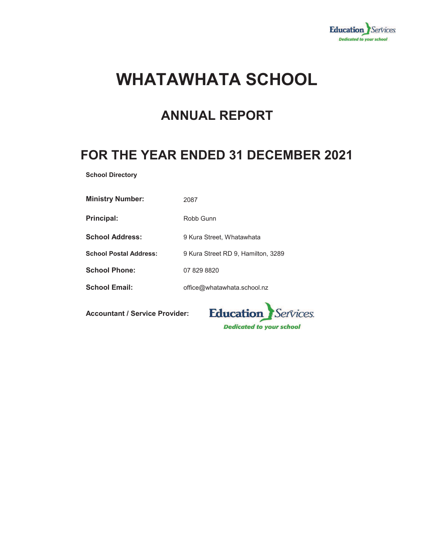

# **WHATAWHATA SCHOOL**

# **ANNUAL REPORT**

# **FOR THE YEAR ENDED 31 DECEMBER 2021**

**School Directory**

| <b>Ministry Number:</b>       | 2087                               |
|-------------------------------|------------------------------------|
| <b>Principal:</b>             | Robb Gunn                          |
| <b>School Address:</b>        | 9 Kura Street, Whatawhata          |
| <b>School Postal Address:</b> | 9 Kura Street RD 9, Hamilton, 3289 |
| <b>School Phone:</b>          | 07 829 8820                        |
| <b>School Email:</b>          | office@whatawhata.school.nz        |

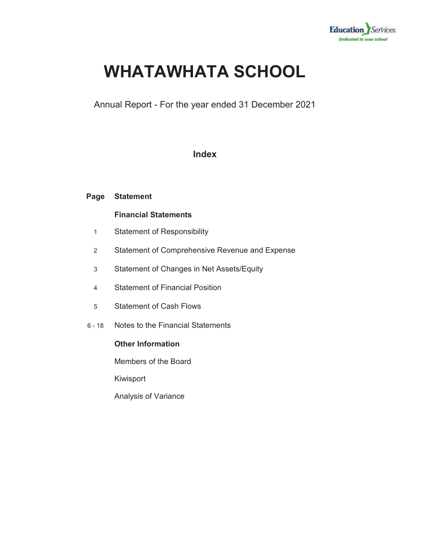

# **WHATAWHATA SCHOOL**

Annual Report - For the year ended 31 December 2021

### **Index**

#### **Page Statement**

### **Financial Statements**

- 1 Statement of Responsibility
- 2 Statement of Comprehensive Revenue and Expense
- 3 Statement of Changes in Net Assets/Equity
- 4 Statement of Financial Position
- 5 Statement of Cash Flows
- 6 18 Notes to the Financial Statements

### **Other Information**

Members of the Board

Kiwisport

Analysis of Variance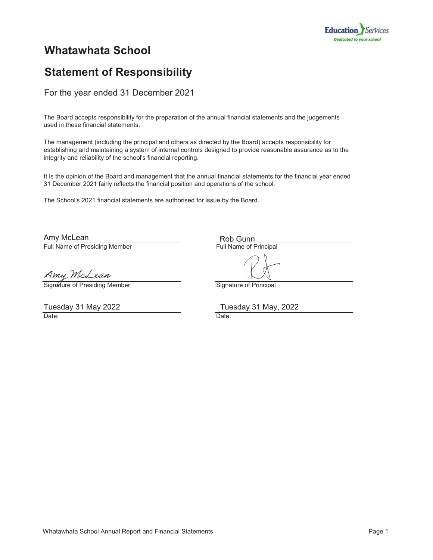

## **Whatawhata School**

# **Statement of Responsibility**

For the year ended 31 December 2021

The Board accepts responsibility for the preparation of the annual financial statements and the judgements used in these financial statements.

The management (including the principal and others as directed by the Board) accepts responsibility for establishing and maintaining a system of internal controls designed to provide reasonable assurance as to the integrity and reliability of the school's financial reporting.

It is the opinion of the Board and management that the annual financial statements for the financial year ended 31 December 2021 fairly reflects the financial position and operations of the school.

The School's 2021 financial statements are authorised for issue by the Board.

Full Name of Presiding Member **Full Name of Principal** Amy McLean

Rob Gunn

Signature of Presiding Member Signature of Principal

Amy McLean

Date: **Date:** Date: **Date: Date: Date: Date: Date: Date: Date: Date: Date: Date: Date: Date: Date: Date: Date: Date: Date: Date: Date: Date: Date: Date: Date: Date: Date: D** Tuesday 31 May 2022

Tuesday 31 May, 2022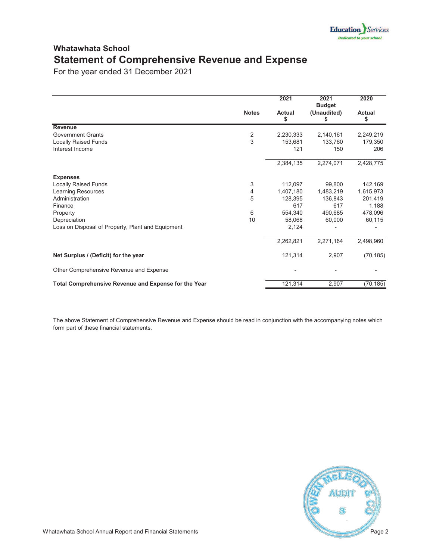### **Whatawhata School Statement of Comprehensive Revenue and Expense**

For the year ended 31 December 2021

|                                                      |                         | 2021                | 2021<br><b>Budget</b> | 2020         |
|------------------------------------------------------|-------------------------|---------------------|-----------------------|--------------|
|                                                      | <b>Notes</b>            | <b>Actual</b><br>\$ | (Unaudited)<br>S      | Actual<br>\$ |
| <b>Revenue</b>                                       |                         |                     |                       |              |
| <b>Government Grants</b>                             | $\overline{\mathbf{c}}$ | 2,230,333           | 2,140,161             | 2,249,219    |
| <b>Locally Raised Funds</b>                          | $\overline{3}$          | 153,681             | 133,760               | 179,350      |
| Interest Income                                      |                         | 121                 | 150                   | 206          |
|                                                      |                         | 2,384,135           | 2,274,071             | 2,428,775    |
| <b>Expenses</b>                                      |                         |                     |                       |              |
| <b>Locally Raised Funds</b>                          | 3                       | 112,097             | 99,800                | 142,169      |
| Learning Resources                                   | 4                       | 1,407,180           | 1,483,219             | 1,615,973    |
| Administration                                       | 5                       | 128,395             | 136,843               | 201,419      |
| Finance                                              |                         | 617                 | 617                   | 1,188        |
| Property                                             | 6                       | 554,340             | 490,685               | 478,096      |
| Depreciation                                         | 10                      | 58,068              | 60,000                | 60,115       |
| Loss on Disposal of Property, Plant and Equipment    |                         | 2,124               |                       |              |
|                                                      |                         | 2,262,821           | 2,271,164             | 2,498,960    |
| Net Surplus / (Deficit) for the year                 |                         | 121,314             | 2,907                 | (70, 185)    |
| Other Comprehensive Revenue and Expense              |                         |                     |                       |              |
| Total Comprehensive Revenue and Expense for the Year |                         | 121,314             | 2,907                 | (70, 185)    |

The above Statement of Comprehensive Revenue and Expense should be read in conjunction with the accompanying notes which form part of these financial statements.

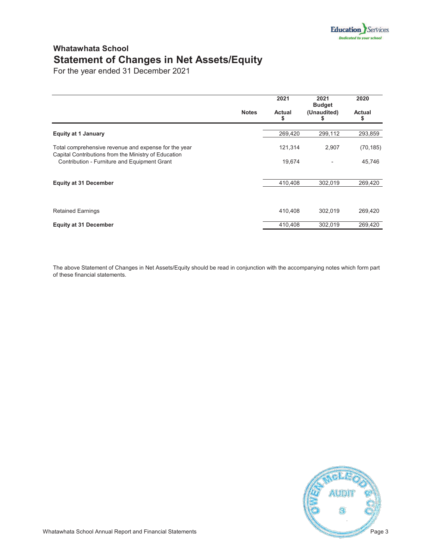### **Whatawhata School Statement of Changes in Net Assets/Equity**

For the year ended 31 December 2021

|                                                                                                      |              | 2021         | 2021<br><b>Budget</b> | 2020                |
|------------------------------------------------------------------------------------------------------|--------------|--------------|-----------------------|---------------------|
|                                                                                                      | <b>Notes</b> | Actual<br>\$ | (Unaudited)           | <b>Actual</b><br>\$ |
| <b>Equity at 1 January</b>                                                                           |              | 269,420      | 299,112               | 293,859             |
| Total comprehensive revenue and expense for the year                                                 |              | 121,314      | 2,907                 | (70, 185)           |
| Capital Contributions from the Ministry of Education<br>Contribution - Furniture and Equipment Grant |              | 19,674       |                       | 45,746              |
| <b>Equity at 31 December</b>                                                                         |              | 410,408      | 302,019               | 269,420             |
|                                                                                                      |              |              |                       |                     |
| <b>Retained Earnings</b>                                                                             |              | 410,408      | 302,019               | 269,420             |
| <b>Equity at 31 December</b>                                                                         |              | 410,408      | 302,019               | 269,420             |

The above Statement of Changes in Net Assets/Equity should be read in conjunction with the accompanying notes which form part of these financial statements.

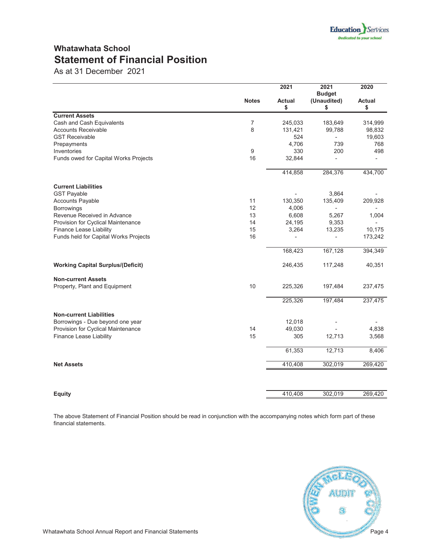### **Whatawhata School Statement of Financial Position**

As at 31 December 2021

|                                                      | <b>Notes</b> | 2021<br>Actual<br>\$ | 2021<br><b>Budget</b><br>(Unaudited)<br>\$ | 2020<br><b>Actual</b><br>\$ |
|------------------------------------------------------|--------------|----------------------|--------------------------------------------|-----------------------------|
| <b>Current Assets</b>                                |              |                      |                                            |                             |
| Cash and Cash Equivalents                            | 7            | 245,033              | 183,649                                    | 314,999                     |
| <b>Accounts Receivable</b>                           | 8            | 131,421              | 99,788                                     | 98,832                      |
| <b>GST Receivable</b>                                |              | 524                  | $\overline{\phantom{a}}$                   | 19,603                      |
| Prepayments                                          | 9            | 4,706                | 739<br>200                                 | 768<br>498                  |
| Inventories<br>Funds owed for Capital Works Projects | 16           | 330<br>32,844        |                                            |                             |
|                                                      |              |                      |                                            |                             |
|                                                      |              | 414,858              | 284,376                                    | 434,700                     |
| <b>Current Liabilities</b>                           |              |                      |                                            |                             |
| <b>GST Payable</b>                                   |              |                      | 3,864                                      |                             |
| <b>Accounts Payable</b>                              | 11           | 130,350              | 135,409                                    | 209,928                     |
| Borrowings                                           | 12           | 4,006                |                                            |                             |
| Revenue Received in Advance                          | 13           | 6,608                | 5,267                                      | 1,004                       |
| Provision for Cyclical Maintenance                   | 14           | 24,195               | 9,353                                      |                             |
| Finance Lease Liability                              | 15           | 3,264                | 13,235                                     | 10,175                      |
| Funds held for Capital Works Projects                | 16           |                      |                                            | 173,242                     |
|                                                      |              | 168,423              | 167,128                                    | 394,349                     |
| <b>Working Capital Surplus/(Deficit)</b>             |              | 246,435              | 117,248                                    | 40,351                      |
| <b>Non-current Assets</b>                            |              |                      |                                            |                             |
| Property, Plant and Equipment                        | 10           | 225,326              | 197,484                                    | 237,475                     |
|                                                      |              | 225,326              | 197,484                                    | 237,475                     |
| <b>Non-current Liabilities</b>                       |              |                      |                                            |                             |
| Borrowings - Due beyond one year                     |              | 12,018               |                                            |                             |
| Provision for Cyclical Maintenance                   | 14           | 49,030               |                                            | 4,838                       |
| Finance Lease Liability                              | 15           | 305                  | 12,713                                     | 3,568                       |
|                                                      |              | 61,353               | 12,713                                     | 8,406                       |
| <b>Net Assets</b>                                    |              | 410,408              | 302,019                                    | 269,420                     |
|                                                      |              |                      |                                            |                             |
| Equity                                               |              | 410,408              | 302,019                                    | 269,420                     |

The above Statement of Financial Position should be read in conjunction with the accompanying notes which form part of these financial statements.

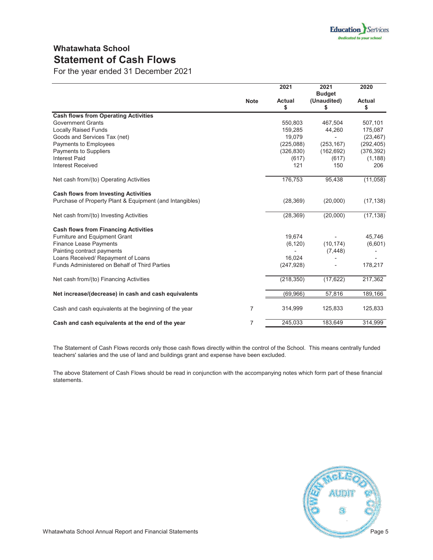### **Whatawhata School Statement of Cash Flows**

For the year ended 31 December 2021

|                                                          |                | 2021                | 2021<br><b>Budget</b> | 2020                |
|----------------------------------------------------------|----------------|---------------------|-----------------------|---------------------|
|                                                          | <b>Note</b>    | <b>Actual</b><br>\$ | (Unaudited)<br>\$     | <b>Actual</b><br>\$ |
| <b>Cash flows from Operating Activities</b>              |                |                     |                       |                     |
| <b>Government Grants</b>                                 |                | 550,803             | 467,504               | 507,101             |
| <b>Locally Raised Funds</b>                              |                | 159,285             | 44,260                | 175,087             |
| Goods and Services Tax (net)                             |                | 19,079              |                       | (23, 467)           |
| Payments to Employees                                    |                | (225,088)           | (253, 167)            | (292, 405)          |
| Payments to Suppliers                                    |                | (326, 830)          | (162, 692)            | (376, 392)          |
| <b>Interest Paid</b>                                     |                | (617)               | (617)                 | (1, 188)            |
| <b>Interest Received</b>                                 |                | 121                 | 150                   | 206                 |
| Net cash from/(to) Operating Activities                  |                | 176,753             | 95,438                | (11,058)            |
| <b>Cash flows from Investing Activities</b>              |                |                     |                       |                     |
| Purchase of Property Plant & Equipment (and Intangibles) |                | (28, 369)           | (20,000)              | (17, 138)           |
| Net cash from/(to) Investing Activities                  |                | (28, 369)           | (20,000)              | (17, 138)           |
| <b>Cash flows from Financing Activities</b>              |                |                     |                       |                     |
| <b>Furniture and Equipment Grant</b>                     |                | 19,674              |                       | 45,746              |
| <b>Finance Lease Payments</b>                            |                | (6, 120)            | (10, 174)             | (6,601)             |
| Painting contract payments                               |                |                     | (7, 448)              |                     |
| Loans Received/ Repayment of Loans                       |                | 16,024              |                       |                     |
| Funds Administered on Behalf of Third Parties            |                | (247, 928)          |                       | 178,217             |
| Net cash from/(to) Financing Activities                  |                | (218, 350)          | (17, 622)             | 217,362             |
| Net increase/(decrease) in cash and cash equivalents     |                | (69, 966)           | 57,816                | 189,166             |
| Cash and cash equivalents at the beginning of the year   | $\overline{7}$ | 314,999             | 125,833               | 125,833             |
| Cash and cash equivalents at the end of the year         | $\overline{7}$ | 245,033             | 183,649               | 314,999             |

The Statement of Cash Flows records only those cash flows directly within the control of the School. This means centrally funded teachers' salaries and the use of land and buildings grant and expense have been excluded.

The above Statement of Cash Flows should be read in conjunction with the accompanying notes which form part of these financial statements.

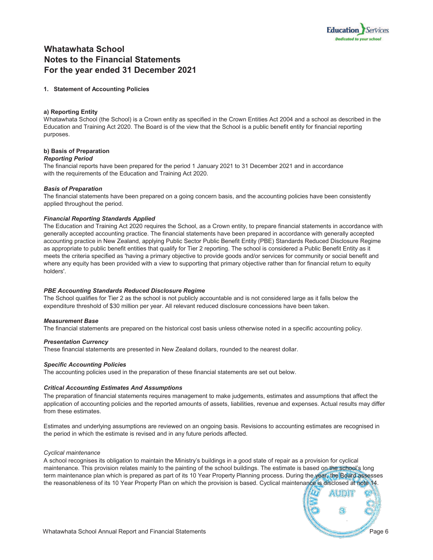

### **Whatawhata School Notes to the Financial Statements For the year ended 31 December 2021**

#### **1. Statement of Accounting Policies**

#### **a) Reporting Entity**

Whatawhata School (the School) is a Crown entity as specified in the Crown Entities Act 2004 and a school as described in the Education and Training Act 2020. The Board is of the view that the School is a public benefit entity for financial reporting purposes.

#### **b) Basis of Preparation**

#### *Reporting Period*

The financial reports have been prepared for the period 1 January 2021 to 31 December 2021 and in accordance with the requirements of the Education and Training Act 2020.

#### *Basis of Preparation*

The financial statements have been prepared on a going concern basis, and the accounting policies have been consistently applied throughout the period.

#### *Financial Reporting Standards Applied*

The Education and Training Act 2020 requires the School, as a Crown entity, to prepare financial statements in accordance with generally accepted accounting practice. The financial statements have been prepared in accordance with generally accepted accounting practice in New Zealand, applying Public Sector Public Benefit Entity (PBE) Standards Reduced Disclosure Regime as appropriate to public benefit entities that qualify for Tier 2 reporting. The school is considered a Public Benefit Entity as it meets the criteria specified as 'having a primary objective to provide goods and/or services for community or social benefit and where any equity has been provided with a view to supporting that primary objective rather than for financial return to equity holders'.

#### *PBE Accounting Standards Reduced Disclosure Regime*

The School qualifies for Tier 2 as the school is not publicly accountable and is not considered large as it falls below the expenditure threshold of \$30 million per year. All relevant reduced disclosure concessions have been taken.

#### *Measurement Base*

The financial statements are prepared on the historical cost basis unless otherwise noted in a specific accounting policy.

#### *Presentation Currency*

These financial statements are presented in New Zealand dollars, rounded to the nearest dollar.

#### *Specific Accounting Policies*

The accounting policies used in the preparation of these financial statements are set out below.

#### *Critical Accounting Estimates And Assumptions*

The preparation of financial statements requires management to make judgements, estimates and assumptions that affect the application of accounting policies and the reported amounts of assets, liabilities, revenue and expenses. Actual results may differ from these estimates.

Estimates and underlying assumptions are reviewed on an ongoing basis. Revisions to accounting estimates are recognised in the period in which the estimate is revised and in any future periods affected.

#### *Cyclical maintenance*

A school recognises its obligation to maintain the Ministry's buildings in a good state of repair as a provision for cyclical maintenance. This provision relates mainly to the painting of the school buildings. The estimate is based on the school's long term maintenance plan which is prepared as part of its 10 Year Property Planning process. During the year, the Board assesses the reasonableness of its 10 Year Property Plan on which the provision is based. Cyclical maintenance is disclosed at note 14.

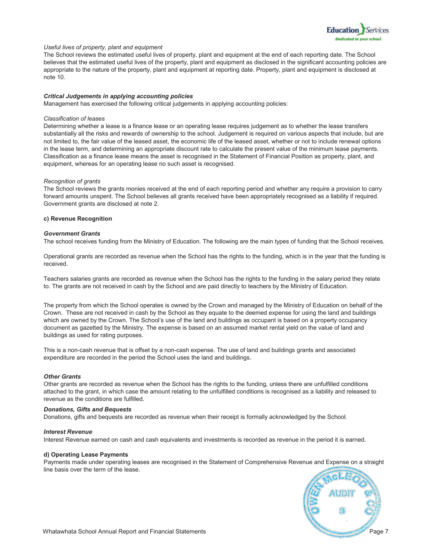

#### *Useful lives of property, plant and equipment*

The School reviews the estimated useful lives of property, plant and equipment at the end of each reporting date. The School believes that the estimated useful lives of the property, plant and equipment as disclosed in the significant accounting policies are appropriate to the nature of the property, plant and equipment at reporting date. Property, plant and equipment is disclosed at note 10.

#### *Critical Judgements in applying accounting policies*

Management has exercised the following critical judgements in applying accounting policies:

#### *Classification of leases*

Determining whether a lease is a finance lease or an operating lease requires judgement as to whether the lease transfers substantially all the risks and rewards of ownership to the school. Judgement is required on various aspects that include, but are not limited to, the fair value of the leased asset, the economic life of the leased asset, whether or not to include renewal options in the lease term, and determining an appropriate discount rate to calculate the present value of the minimum lease payments. Classification as a finance lease means the asset is recognised in the Statement of Financial Position as property, plant, and equipment, whereas for an operating lease no such asset is recognised.

#### *Recognition of grants*

The School reviews the grants monies received at the end of each reporting period and whether any require a provision to carry forward amounts unspent. The School believes all grants received have been appropriately recognised as a liability if required. Government grants are disclosed at note 2.

#### **c) Revenue Recognition**

#### *Government Grants*

The school receives funding from the Ministry of Education. The following are the main types of funding that the School receives.

Operational grants are recorded as revenue when the School has the rights to the funding, which is in the year that the funding is received.

Teachers salaries grants are recorded as revenue when the School has the rights to the funding in the salary period they relate to. The grants are not received in cash by the School and are paid directly to teachers by the Ministry of Education.

The property from which the School operates is owned by the Crown and managed by the Ministry of Education on behalf of the Crown. These are not received in cash by the School as they equate to the deemed expense for using the land and buildings which are owned by the Crown. The School's use of the land and buildings as occupant is based on a property occupancy document as gazetted by the Ministry. The expense is based on an assumed market rental yield on the value of land and buildings as used for rating purposes.

This is a non-cash revenue that is offset by a non-cash expense. The use of land and buildings grants and associated expenditure are recorded in the period the School uses the land and buildings.

#### *Other Grants*

Other grants are recorded as revenue when the School has the rights to the funding, unless there are unfulfilled conditions attached to the grant, in which case the amount relating to the unfulfilled conditions is recognised as a liability and released to revenue as the conditions are fulfilled.

#### *Donations, Gifts and Bequests*

Donations, gifts and bequests are recorded as revenue when their receipt is formally acknowledged by the School.

#### *Interest Revenue*

Interest Revenue earned on cash and cash equivalents and investments is recorded as revenue in the period it is earned.

#### **d) Operating Lease Payments**

Payments made under operating leases are recognised in the Statement of Comprehensive Revenue and Expense on a straight line basis over the term of the lease.

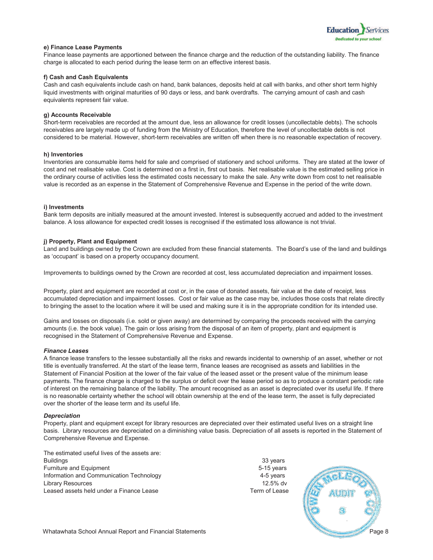

#### **e) Finance Lease Payments**

Finance lease payments are apportioned between the finance charge and the reduction of the outstanding liability. The finance charge is allocated to each period during the lease term on an effective interest basis.

#### **f) Cash and Cash Equivalents**

Cash and cash equivalents include cash on hand, bank balances, deposits held at call with banks, and other short term highly liquid investments with original maturities of 90 days or less, and bank overdrafts. The carrying amount of cash and cash equivalents represent fair value.

#### **g) Accounts Receivable**

Short-term receivables are recorded at the amount due, less an allowance for credit losses (uncollectable debts). The schools receivables are largely made up of funding from the Ministry of Education, therefore the level of uncollectable debts is not considered to be material. However, short-term receivables are written off when there is no reasonable expectation of recovery.

#### **h) Inventories**

Inventories are consumable items held for sale and comprised of stationery and school uniforms. They are stated at the lower of cost and net realisable value. Cost is determined on a first in, first out basis. Net realisable value is the estimated selling price in the ordinary course of activities less the estimated costs necessary to make the sale. Any write down from cost to net realisable value is recorded as an expense in the Statement of Comprehensive Revenue and Expense in the period of the write down.

#### **i) Investments**

Bank term deposits are initially measured at the amount invested. Interest is subsequently accrued and added to the investment balance. A loss allowance for expected credit losses is recognised if the estimated loss allowance is not trivial.

#### **j) Property, Plant and Equipment**

Land and buildings owned by the Crown are excluded from these financial statements. The Board's use of the land and buildings as 'occupant' is based on a property occupancy document.

Improvements to buildings owned by the Crown are recorded at cost, less accumulated depreciation and impairment losses.

Property, plant and equipment are recorded at cost or, in the case of donated assets, fair value at the date of receipt, less accumulated depreciation and impairment losses. Cost or fair value as the case may be, includes those costs that relate directly to bringing the asset to the location where it will be used and making sure it is in the appropriate condition for its intended use.

Gains and losses on disposals (i.e. sold or given away) are determined by comparing the proceeds received with the carrying amounts (i.e. the book value). The gain or loss arising from the disposal of an item of property, plant and equipment is recognised in the Statement of Comprehensive Revenue and Expense.

#### *Finance Leases*

A finance lease transfers to the lessee substantially all the risks and rewards incidental to ownership of an asset, whether or not title is eventually transferred. At the start of the lease term, finance leases are recognised as assets and liabilities in the Statement of Financial Position at the lower of the fair value of the leased asset or the present value of the minimum lease payments. The finance charge is charged to the surplus or deficit over the lease period so as to produce a constant periodic rate of interest on the remaining balance of the liability. The amount recognised as an asset is depreciated over its useful life. If there is no reasonable certainty whether the school will obtain ownership at the end of the lease term, the asset is fully depreciated over the shorter of the lease term and its useful life.

#### *Depreciation*

Property, plant and equipment except for library resources are depreciated over their estimated useful lives on a straight line basis. Library resources are depreciated on a diminishing value basis. Depreciation of all assets is reported in the Statement of Comprehensive Revenue and Expense.

| The estimated useful lives of the assets are: |               |
|-----------------------------------------------|---------------|
| <b>Buildings</b>                              | 33 years      |
| Furniture and Equipment                       | 5-15 years    |
| Information and Communication Technology      | 4-5 years     |
| Library Resources                             | $12.5\%$ dv   |
| Leased assets held under a Finance Lease      | Term of Lease |

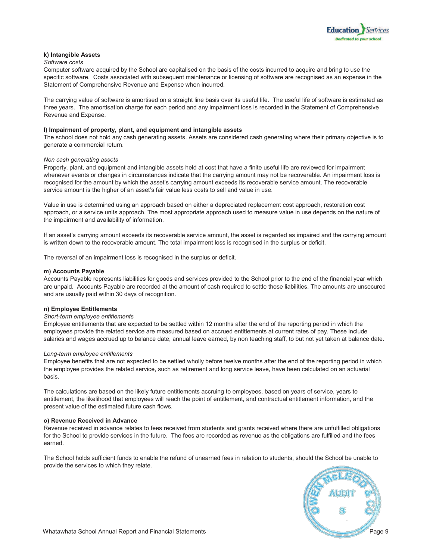

#### **k) Intangible Assets**

#### *Software costs*

Computer software acquired by the School are capitalised on the basis of the costs incurred to acquire and bring to use the specific software. Costs associated with subsequent maintenance or licensing of software are recognised as an expense in the Statement of Comprehensive Revenue and Expense when incurred.

The carrying value of software is amortised on a straight line basis over its useful life. The useful life of software is estimated as three years. The amortisation charge for each period and any impairment loss is recorded in the Statement of Comprehensive Revenue and Expense.

#### **l) Impairment of property, plant, and equipment and intangible assets**

The school does not hold any cash generating assets. Assets are considered cash generating where their primary objective is to generate a commercial return.

#### *Non cash generating assets*

Property, plant, and equipment and intangible assets held at cost that have a finite useful life are reviewed for impairment whenever events or changes in circumstances indicate that the carrying amount may not be recoverable. An impairment loss is recognised for the amount by which the asset's carrying amount exceeds its recoverable service amount. The recoverable service amount is the higher of an asset's fair value less costs to sell and value in use.

Value in use is determined using an approach based on either a depreciated replacement cost approach, restoration cost approach, or a service units approach. The most appropriate approach used to measure value in use depends on the nature of the impairment and availability of information.

If an asset's carrying amount exceeds its recoverable service amount, the asset is regarded as impaired and the carrying amount is written down to the recoverable amount. The total impairment loss is recognised in the surplus or deficit.

The reversal of an impairment loss is recognised in the surplus or deficit.

#### **m) Accounts Payable**

Accounts Payable represents liabilities for goods and services provided to the School prior to the end of the financial year which are unpaid. Accounts Payable are recorded at the amount of cash required to settle those liabilities. The amounts are unsecured and are usually paid within 30 days of recognition.

#### **n) Employee Entitlements**

#### *Short-term employee entitlements*

Employee entitlements that are expected to be settled within 12 months after the end of the reporting period in which the employees provide the related service are measured based on accrued entitlements at current rates of pay. These include salaries and wages accrued up to balance date, annual leave earned, by non teaching staff, to but not yet taken at balance date.

#### *Long-term employee entitlements*

Employee benefits that are not expected to be settled wholly before twelve months after the end of the reporting period in which the employee provides the related service, such as retirement and long service leave, have been calculated on an actuarial basis.

The calculations are based on the likely future entitlements accruing to employees, based on years of service, years to entitlement, the likelihood that employees will reach the point of entitlement, and contractual entitlement information, and the present value of the estimated future cash flows.

#### **o) Revenue Received in Advance**

Revenue received in advance relates to fees received from students and grants received where there are unfulfilled obligations for the School to provide services in the future. The fees are recorded as revenue as the obligations are fulfilled and the fees earned.

The School holds sufficient funds to enable the refund of unearned fees in relation to students, should the School be unable to provide the services to which they relate.

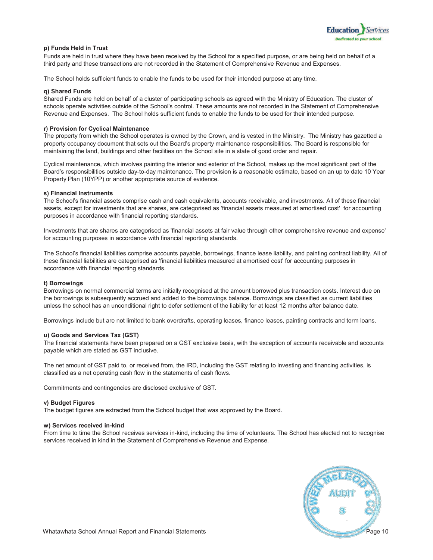

#### **p) Funds Held in Trust**

Funds are held in trust where they have been received by the School for a specified purpose, or are being held on behalf of a third party and these transactions are not recorded in the Statement of Comprehensive Revenue and Expenses.

The School holds sufficient funds to enable the funds to be used for their intended purpose at any time.

#### **q) Shared Funds**

Shared Funds are held on behalf of a cluster of participating schools as agreed with the Ministry of Education. The cluster of schools operate activities outside of the School's control. These amounts are not recorded in the Statement of Comprehensive Revenue and Expenses. The School holds sufficient funds to enable the funds to be used for their intended purpose.

#### **r) Provision for Cyclical Maintenance**

The property from which the School operates is owned by the Crown, and is vested in the Ministry. The Ministry has gazetted a property occupancy document that sets out the Board's property maintenance responsibilities. The Board is responsible for maintaining the land, buildings and other facilities on the School site in a state of good order and repair.

Cyclical maintenance, which involves painting the interior and exterior of the School, makes up the most significant part of the Board's responsibilities outside day-to-day maintenance. The provision is a reasonable estimate, based on an up to date 10 Year Property Plan (10YPP) or another appropriate source of evidence.

#### **s) Financial Instruments**

The School's financial assets comprise cash and cash equivalents, accounts receivable, and investments. All of these financial assets, except for investments that are shares, are categorised as 'financial assets measured at amortised cost' for accounting purposes in accordance with financial reporting standards.

Investments that are shares are categorised as 'financial assets at fair value through other comprehensive revenue and expense' for accounting purposes in accordance with financial reporting standards.

The School's financial liabilities comprise accounts payable, borrowings, finance lease liability, and painting contract liability. All of these financial liabilities are categorised as 'financial liabilities measured at amortised cost' for accounting purposes in accordance with financial reporting standards.

#### **t) Borrowings**

Borrowings on normal commercial terms are initially recognised at the amount borrowed plus transaction costs. Interest due on the borrowings is subsequently accrued and added to the borrowings balance. Borrowings are classified as current liabilities unless the school has an unconditional right to defer settlement of the liability for at least 12 months after balance date.

Borrowings include but are not limited to bank overdrafts, operating leases, finance leases, painting contracts and term loans.

#### **u) Goods and Services Tax (GST)**

The financial statements have been prepared on a GST exclusive basis, with the exception of accounts receivable and accounts payable which are stated as GST inclusive.

The net amount of GST paid to, or received from, the IRD, including the GST relating to investing and financing activities, is classified as a net operating cash flow in the statements of cash flows.

Commitments and contingencies are disclosed exclusive of GST.

#### **v) Budget Figures**

The budget figures are extracted from the School budget that was approved by the Board.

#### **w) Services received in-kind**

From time to time the School receives services in-kind, including the time of volunteers. The School has elected not to recognise services received in kind in the Statement of Comprehensive Revenue and Expense.

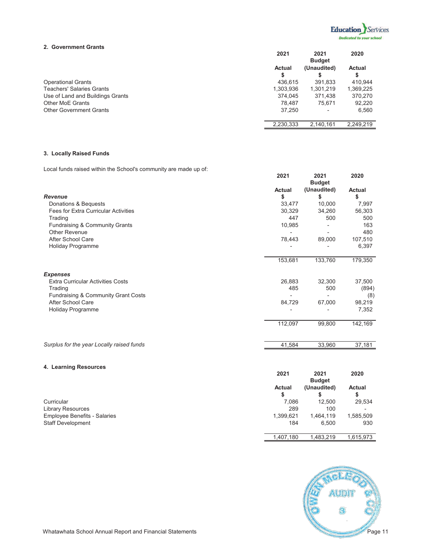

#### **2. Government Grants**

|                                  | 2021      | 2021<br><b>Budget</b> | 2020      |
|----------------------------------|-----------|-----------------------|-----------|
|                                  | Actual    | (Unaudited)           | Actual    |
|                                  | S         |                       |           |
| <b>Operational Grants</b>        | 436.615   | 391,833               | 410.944   |
| <b>Teachers' Salaries Grants</b> | 1,303,936 | 1,301,219             | 1,369,225 |
| Use of Land and Buildings Grants | 374.045   | 371,438               | 370,270   |
| <b>Other MoE Grants</b>          | 78.487    | 75.671                | 92,220    |
| <b>Other Government Grants</b>   | 37.250    |                       | 6,560     |
|                                  | 2,230,333 | 2,140,161             | 2,249,219 |

#### **3. Locally Raised Funds**

Local funds raised within the School's community are made up of:

|                                             | 2021                     | 2021<br><b>Budget</b> | 2020                     |
|---------------------------------------------|--------------------------|-----------------------|--------------------------|
|                                             | Actual                   | (Unaudited)           | Actual                   |
| <b>Revenue</b>                              | \$                       | \$                    | \$                       |
| Donations & Bequests                        | 33,477                   | 10,000                | 7,997                    |
| <b>Fees for Extra Curricular Activities</b> | 30,329                   | 34,260                | 56,303                   |
| Trading                                     | 447                      | 500                   | 500                      |
| Fundraising & Community Grants              | 10,985                   |                       | 163                      |
| <b>Other Revenue</b>                        | $\overline{\phantom{0}}$ |                       | 480                      |
| After School Care                           | 78,443                   | 89,000                | 107,510                  |
| <b>Holiday Programme</b>                    |                          |                       | 6,397                    |
|                                             | 153,681                  | 133,760               | 179,350                  |
| <b>Expenses</b>                             |                          |                       |                          |
| <b>Extra Curricular Activities Costs</b>    | 26,883                   | 32,300                | 37,500                   |
| Trading                                     | 485                      | 500                   | (894)                    |
| Fundraising & Community Grant Costs         |                          | $\overline{a}$        | (8)                      |
| After School Care                           | 84,729                   | 67,000                | 98,219                   |
| <b>Holiday Programme</b>                    |                          |                       | 7,352                    |
|                                             | 112,097                  | 99,800                | 142,169                  |
| Surplus for the year Locally raised funds   | 41,584                   | 33,960                | 37,181                   |
|                                             |                          |                       |                          |
| 4. Learning Resources                       |                          |                       |                          |
|                                             | 2021                     | 2021<br><b>Budget</b> | 2020                     |
|                                             | <b>Actual</b>            | (Unaudited)           | <b>Actual</b>            |
|                                             | \$                       | \$                    | \$                       |
| Curricular                                  | 7,086                    | 12,500                | 29,534                   |
| <b>Library Resources</b>                    | 289                      | 100                   | $\overline{\phantom{0}}$ |

Employee Benefits - Salaries 1,399,621 1,464,119 1,585,509<br>Staff Development 6,500 930 Staff Development



1,483,219 1,407,180 1,615,973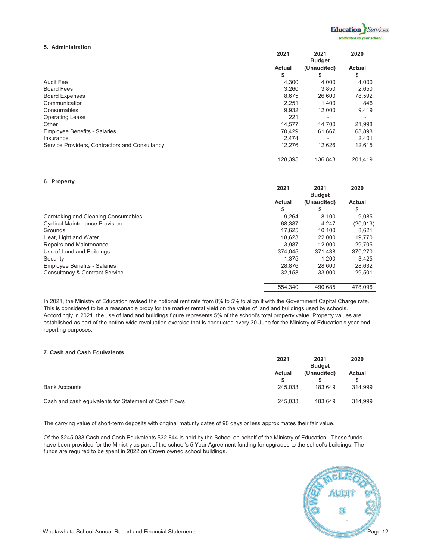

#### **5. Administration**

|                                                | 2021    | 2021<br><b>Budget</b> | 2020    |
|------------------------------------------------|---------|-----------------------|---------|
|                                                | Actual  | (Unaudited)           | Actual  |
|                                                | \$      | \$                    | \$      |
| Audit Fee                                      | 4,300   | 4.000                 | 4,000   |
| <b>Board Fees</b>                              | 3,260   | 3,850                 | 2,650   |
| <b>Board Expenses</b>                          | 8,675   | 26,600                | 78,592  |
| Communication                                  | 2,251   | 1.400                 | 846     |
| Consumables                                    | 9,932   | 12,000                | 9,419   |
| <b>Operating Lease</b>                         | 221     |                       |         |
| Other                                          | 14.577  | 14.700                | 21,998  |
| <b>Employee Benefits - Salaries</b>            | 70.429  | 61.667                | 68,898  |
| Insurance                                      | 2,474   |                       | 2,401   |
| Service Providers, Contractors and Consultancy | 12.276  | 12,626                | 12,615  |
|                                                | 128,395 | 136,843               | 201,419 |

#### **6. Property**

|                                           | 2021         | 2021<br><b>Budget</b> | 2020      |
|-------------------------------------------|--------------|-----------------------|-----------|
|                                           | Actual<br>\$ | (Unaudited)<br>S      | Actual    |
| Caretaking and Cleaning Consumables       | 9.264        | 8,100                 | 9,085     |
| <b>Cyclical Maintenance Provision</b>     | 68,387       | 4.247                 | (20, 913) |
| Grounds                                   | 17.625       | 10.100                | 8.621     |
| Heat, Light and Water                     | 18.623       | 22,000                | 19,770    |
| Repairs and Maintenance                   | 3.987        | 12.000                | 29.705    |
| Use of Land and Buildings                 | 374,045      | 371.438               | 370,270   |
| Security                                  | 1.375        | 1.200                 | 3,425     |
| <b>Employee Benefits - Salaries</b>       | 28.876       | 28,600                | 28,632    |
| <b>Consultancy &amp; Contract Service</b> | 32.158       | 33,000                | 29,501    |
|                                           | 554.340      | 490.685               | 478.096   |

In 2021, the Ministry of Education revised the notional rent rate from 8% to 5% to align it with the Government Capital Charge rate. This is considered to be a reasonable proxy for the market rental yield on the value of land and buildings used by schools. Accordingly in 2021, the use of land and buildings figure represents 5% of the school's total property value. Property values are established as part of the nation-wide revaluation exercise that is conducted every 30 June for the Ministry of Education's year-end reporting purposes.

#### **7. Cash and Cash Equivalents**

|                                                       | 2021<br>2021<br><b>Budget</b> |                        | 2020                     |  |
|-------------------------------------------------------|-------------------------------|------------------------|--------------------------|--|
| <b>Bank Accounts</b>                                  | Actual<br>245.033             | (Unaudited)<br>183.649 | <b>Actual</b><br>314.999 |  |
|                                                       |                               |                        |                          |  |
| Cash and cash equivalents for Statement of Cash Flows | 245.033                       | 183.649                | 314.999                  |  |

The carrying value of short-term deposits with original maturity dates of 90 days or less approximates their fair value.

Of the \$245,033 Cash and Cash Equivalents \$32,844 is held by the School on behalf of the Ministry of Education. These funds have been provided for the Ministry as part of the school's 5 Year Agreement funding for upgrades to the school's buildings. The funds are required to be spent in 2022 on Crown owned school buildings.

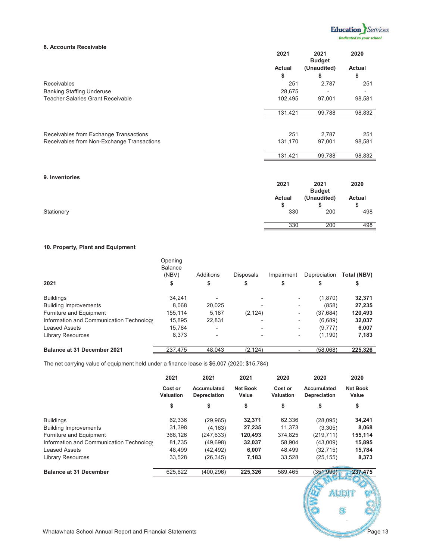

#### **8. Accounts Receivable**

|                                            | 2021    | 2021<br><b>Budget</b> | 2020   |
|--------------------------------------------|---------|-----------------------|--------|
|                                            | Actual  | (Unaudited)           | Actual |
|                                            | \$      | \$                    | \$     |
| <b>Receivables</b>                         | 251     | 2,787                 | 251    |
| <b>Banking Staffing Underuse</b>           | 28,675  |                       |        |
| <b>Teacher Salaries Grant Receivable</b>   | 102,495 | 97,001                | 98,581 |
|                                            | 131,421 | 99,788                | 98,832 |
|                                            |         |                       |        |
| Receivables from Exchange Transactions     | 251     | 2,787                 | 251    |
| Receivables from Non-Exchange Transactions | 131,170 | 97,001                | 98,581 |
|                                            | 131,421 | 99,788                | 98,832 |
| 9. Inventories                             | 2021    | 2021                  | 2020   |

|            | ZUZ1   | ZUZ1<br><b>Budget</b> | ZUZU      |
|------------|--------|-----------------------|-----------|
|            | Actual | (Unaudited)           | Actual    |
| Stationery | 330    | 200                   | ۰D<br>498 |
|            | 330    | 200                   | 498       |

#### **10. Property, Plant and Equipment**

|                                          | Opening<br><b>Balance</b><br>(NBV) | Additions                | <b>Disposals</b>         | Impairment               | Depreciation | Total (NBV) |
|------------------------------------------|------------------------------------|--------------------------|--------------------------|--------------------------|--------------|-------------|
| 2021                                     | \$                                 | \$                       | \$                       | \$                       | \$           | \$          |
| <b>Buildings</b>                         | 34,241                             |                          |                          |                          | (1,870)      | 32,371      |
| <b>Building Improvements</b>             | 8.068                              | 20,025                   |                          |                          | (858)        | 27,235      |
| Furniture and Equipment                  | 155,114                            | 5,187                    | (2, 124)                 | $\overline{\phantom{a}}$ | (37, 684)    | 120,493     |
| Information and Communication Technology | 15,895                             | 22,831                   | $\qquad \qquad$          | $\overline{\phantom{a}}$ | (6,689)      | 32,037      |
| <b>Leased Assets</b>                     | 15.784                             | $\overline{\phantom{0}}$ | $\overline{\phantom{0}}$ | $\overline{\phantom{a}}$ | (9,777)      | 6,007       |
| <b>Library Resources</b>                 | 8,373                              |                          |                          | $\overline{\phantom{a}}$ | (1, 190)     | 7,183       |
| <b>Balance at 31 December 2021</b>       | 237.475                            | 48,043                   | (2, 124)                 |                          | (58,068)     | 225,326     |

The net carrying value of equipment held under a finance lease is \$6,007 (2020: \$15,784)

|                                                          | 2021                        | 2021                        | 2021                     | 2020                 | 2020                        | 2020                     |
|----------------------------------------------------------|-----------------------------|-----------------------------|--------------------------|----------------------|-----------------------------|--------------------------|
|                                                          | Cost or<br><b>Valuation</b> | Accumulated<br>Depreciation | <b>Net Book</b><br>Value | Cost or<br>Valuation | Accumulated<br>Depreciation | <b>Net Book</b><br>Value |
|                                                          | \$                          | \$                          | \$                       | \$                   | \$                          | \$                       |
| <b>Buildings</b>                                         | 62,336                      | (29, 965)                   | 32,371                   | 62,336               | (28,095)                    | 34,241                   |
| <b>Building Improvements</b>                             | 31,398                      | (4, 163)                    | 27,235                   | 11,373               | (3,305)                     | 8,068                    |
| Furniture and Equipment                                  | 368,126                     | (247, 633)                  | 120,493                  | 374,825              | (219, 711)                  | 155,114                  |
| Information and Communication Technology                 | 81,735                      | (49,698)                    | 32,037                   | 58,904               | (43,009)                    | 15,895                   |
| <b>Leased Assets</b>                                     | 48,499                      | (42, 492)                   | 6,007                    | 48,499               | (32, 715)                   | 15,784                   |
| <b>Library Resources</b>                                 | 33,528                      | (26, 345)                   | 7,183                    | 33,528               | (25, 155)                   | 8,373                    |
| <b>Balance at 31 December</b>                            | 625,622                     | (400, 296)                  | 225,326                  | 589,465              | (351,990)                   | 237,475                  |
|                                                          |                             |                             |                          |                      |                             |                          |
|                                                          |                             |                             |                          |                      | audi                        |                          |
|                                                          |                             |                             |                          |                      |                             |                          |
|                                                          |                             |                             |                          |                      |                             | 3                        |
|                                                          |                             |                             |                          |                      |                             |                          |
|                                                          |                             |                             |                          |                      |                             |                          |
| Whatawhata School Annual Report and Financial Statements |                             |                             |                          |                      |                             | Page 13                  |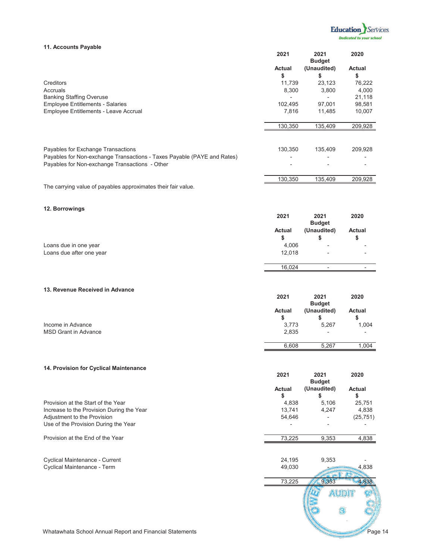

### **11. Accounts Payable**

|                                                                         | 2021                     | 2021                         | 2020                     |
|-------------------------------------------------------------------------|--------------------------|------------------------------|--------------------------|
|                                                                         | Actual                   | <b>Budget</b><br>(Unaudited) | Actual                   |
|                                                                         |                          |                              |                          |
| Creditors                                                               | \$<br>11,739             | \$<br>23,123                 | \$<br>76,222             |
| Accruals                                                                | 8,300                    | 3,800                        | 4,000                    |
| <b>Banking Staffing Overuse</b>                                         | $\overline{\phantom{m}}$ | $\overline{\phantom{a}}$     | 21,118                   |
| <b>Employee Entitlements - Salaries</b>                                 | 102,495                  | 97,001                       | 98,581                   |
| Employee Entitlements - Leave Accrual                                   | 7,816                    | 11,485                       | 10,007                   |
|                                                                         |                          |                              |                          |
|                                                                         | 130,350                  | 135,409                      | 209,928                  |
|                                                                         |                          |                              |                          |
|                                                                         |                          |                              |                          |
| Payables for Exchange Transactions                                      | 130,350                  | 135,409                      | 209,928                  |
| Payables for Non-exchange Transactions - Taxes Payable (PAYE and Rates) |                          |                              |                          |
| Payables for Non-exchange Transactions - Other                          |                          |                              |                          |
|                                                                         |                          |                              |                          |
|                                                                         | 130,350                  | 135,409                      | 209,928                  |
| The carrying value of payables approximates their fair value.           |                          |                              |                          |
|                                                                         |                          |                              |                          |
| 12. Borrowings                                                          |                          |                              |                          |
|                                                                         | 2021                     | 2021                         | 2020                     |
|                                                                         | Actual                   | <b>Budget</b><br>(Unaudited) | Actual                   |
|                                                                         |                          |                              |                          |
|                                                                         | \$                       | \$                           | \$                       |
| Loans due in one year                                                   | 4,006                    |                              |                          |
| Loans due after one year                                                | 12,018                   |                              |                          |
|                                                                         | 16,024                   | $\overline{\phantom{a}}$     |                          |
|                                                                         |                          |                              |                          |
|                                                                         |                          |                              |                          |
| 13. Revenue Received in Advance                                         | 2021                     | 2021                         | 2020                     |
|                                                                         |                          | <b>Budget</b>                |                          |
|                                                                         | Actual                   | (Unaudited)                  | Actual                   |
|                                                                         | \$                       | \$                           | \$                       |
| Income in Advance                                                       | 3,773                    | 5,267                        | 1,004                    |
| <b>MSD Grant in Advance</b>                                             | 2,835                    | $\overline{a}$               | $\overline{\phantom{a}}$ |
|                                                                         |                          |                              |                          |
|                                                                         | 6,608                    | 5,267                        | 1,004                    |
|                                                                         |                          |                              |                          |
| 14. Provision for Cyclical Maintenance                                  |                          |                              |                          |
|                                                                         | 2021                     | 2021                         | 2020                     |
|                                                                         |                          | <b>Budget</b>                |                          |
|                                                                         | Actual                   | (Unaudited)                  | Actual                   |
|                                                                         | \$                       | \$                           | \$                       |
| Provision at the Start of the Year                                      | 4,838                    | 5,106                        | 25,751                   |
| Increase to the Provision During the Year                               | 13,741                   | 4,247                        | 4,838                    |
| Adjustment to the Provision                                             | 54,646                   |                              | (25, 751)                |
| Use of the Provision During the Year                                    |                          |                              |                          |
| Provision at the End of the Year                                        | 73,225                   | 9,353                        | 4,838                    |
|                                                                         |                          |                              |                          |
|                                                                         |                          |                              |                          |
| Cyclical Maintenance - Current<br>Cyclical Maintenance - Term           | 24,195<br>49,030         | 9,353                        | 4,838                    |
|                                                                         |                          |                              |                          |
|                                                                         | 73,225                   | 9,353                        | 4,838                    |
|                                                                         |                          |                              |                          |
|                                                                         |                          | <b>AUDIT</b>                 |                          |
|                                                                         |                          |                              |                          |
|                                                                         |                          |                              |                          |
|                                                                         |                          |                              |                          |
| Whatawhata School Annual Report and Financial Statements                |                          |                              | Page 14                  |
|                                                                         |                          |                              |                          |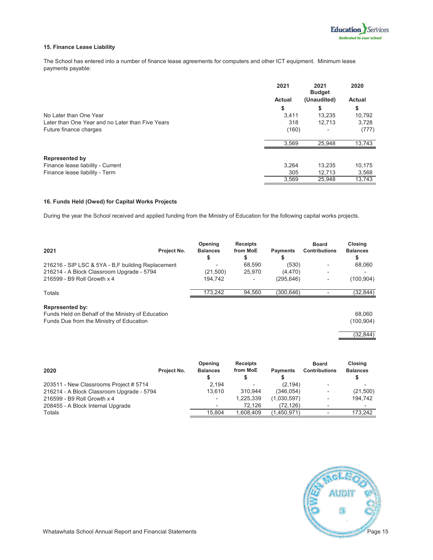#### **15. Finance Lease Liability**

The School has entered into a number of finance lease agreements for computers and other ICT equipment. Minimum lease payments payable:

|                                                  | 2021   | 2021<br><b>Budget</b> | 2020          |
|--------------------------------------------------|--------|-----------------------|---------------|
|                                                  | Actual | (Unaudited)           | <b>Actual</b> |
|                                                  | \$     | \$                    | \$            |
| No Later than One Year                           | 3.411  | 13.235                | 10,792        |
| Later than One Year and no Later than Five Years | 318    | 12.713                | 3,728         |
| Future finance charges                           | (160)  |                       | (777)         |
|                                                  | 3.569  | 25,948                | 13,743        |
| <b>Represented by</b>                            |        |                       |               |
| Finance lease liability - Current                | 3.264  | 13,235                | 10,175        |
| Finance lease liability - Term                   | 305    | 12,713                | 3,568         |
|                                                  | 3,569  | 25,948                | 13,743        |

#### **16. Funds Held (Owed) for Capital Works Projects**

During the year the School received and applied funding from the Ministry of Education for the following capital works projects.

| 2021                                                                                                                    | Project No. | Opening<br><b>Balances</b> | <b>Receipts</b><br>from MoE<br>\$ | <b>Payments</b> | <b>Board</b><br><b>Contributions</b> | Closina<br><b>Balances</b> |
|-------------------------------------------------------------------------------------------------------------------------|-------------|----------------------------|-----------------------------------|-----------------|--------------------------------------|----------------------------|
| 216216 - SIP LSC & 5YA - B,F building Replacement                                                                       |             |                            | 68,590                            | (530)           |                                      | 68,060                     |
| 216214 - A Block Classroom Upgrade - 5794                                                                               |             | (21,500)                   | 25,970                            | (4, 470)        |                                      |                            |
| 216599 - B9 Roll Growth x 4                                                                                             |             | 194.742                    |                                   | (295,646)       |                                      | (100, 904)                 |
| Totals                                                                                                                  |             | 173.242                    | 94.560                            | (300.646)       |                                      | (32, 844)                  |
| <b>Represented by:</b><br>Funds Held on Behalf of the Ministry of Education<br>Funds Due from the Ministry of Education |             |                            |                                   |                 |                                      | 68.060<br>(100, 904)       |

(32,844)

| 2020                                      | Project No. | Opening<br><b>Balances</b> | <b>Receipts</b><br>from MoE | <b>Payments</b> | <b>Board</b><br><b>Contributions</b> | Closing<br><b>Balances</b> |
|-------------------------------------------|-------------|----------------------------|-----------------------------|-----------------|--------------------------------------|----------------------------|
| 203511 - New Classrooms Project # 5714    |             | 2,194                      |                             | (2, 194)        |                                      |                            |
| 216214 - A Block Classroom Upgrade - 5794 |             | 13.610                     | 310.944                     | (346.054)       | $\overline{\phantom{a}}$             | (21,500)                   |
| 216599 - B9 Roll Growth x 4               |             |                            | 1,225,339                   | (1,030,597)     | $\overline{\phantom{0}}$             | 194.742                    |
| 208455 - A Block Internal Upgrade         |             |                            | 72.126                      | (72.126)        |                                      | $\overline{\phantom{0}}$   |
| Totals                                    |             | 15.804                     | 1.608.409                   | (1,450,971)     |                                      | 173.242                    |

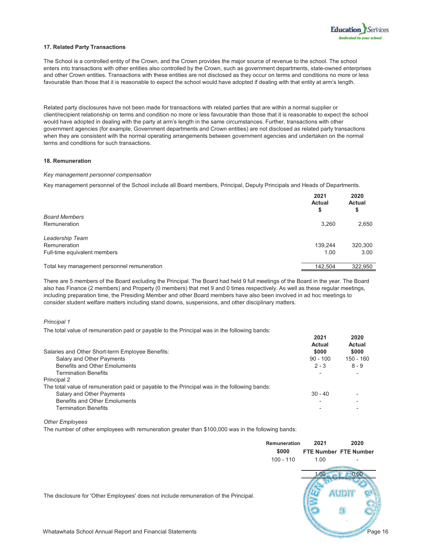#### **17. Related Party Transactions**

The School is a controlled entity of the Crown, and the Crown provides the major source of revenue to the school. The school enters into transactions with other entities also controlled by the Crown, such as government departments, state-owned enterprises and other Crown entities. Transactions with these entities are not disclosed as they occur on terms and conditions no more or less favourable than those that it is reasonable to expect the school would have adopted if dealing with that entity at arm's length.

Related party disclosures have not been made for transactions with related parties that are within a normal supplier or client/recipient relationship on terms and condition no more or less favourable than those that it is reasonable to expect the school would have adopted in dealing with the party at arm's length in the same circumstances. Further, transactions with other government agencies (for example, Government departments and Crown entities) are not disclosed as related party transactions when they are consistent with the normal operating arrangements between government agencies and undertaken on the normal terms and conditions for such transactions.

#### **18. Remuneration**

#### *Key management personnel compensation*

Key management personnel of the School include all Board members, Principal, Deputy Principals and Heads of Departments.

|                                             | 2021<br><b>Actual</b><br>\$ | 2020<br>Actual<br>\$ |
|---------------------------------------------|-----------------------------|----------------------|
| <b>Board Members</b>                        |                             |                      |
| Remuneration                                | 3,260                       | 2,650                |
| Leadership Team                             |                             |                      |
| Remuneration                                | 139.244                     | 320,300              |
| Full-time equivalent members                | 1.00                        | 3.00                 |
| Total key management personnel remuneration | 142,504                     | 322,950              |

There are 5 members of the Board excluding the Principal. The Board had held 9 full meetings of the Board in the year. The Board also has Finance (2 members) and Property (0 members) that met 9 and 0 times respectively. As well as these regular meetings, including preparation time, the Presiding Member and other Board members have also been involved in ad hoc meetings to consider student welfare matters including stand downs, suspensions, and other disciplinary matters.

#### *Principal 1*

The total value of remuneration paid or payable to the Principal was in the following bands:

|                                                                                              | 2021<br><b>Actual</b> | 2020<br>Actual |
|----------------------------------------------------------------------------------------------|-----------------------|----------------|
| Salaries and Other Short-term Employee Benefits:                                             | \$000                 | \$000          |
| Salary and Other Payments                                                                    | $90 - 100$            | $150 - 160$    |
| Benefits and Other Emoluments                                                                | $2 - 3$               | $8 - 9$        |
| <b>Termination Benefits</b>                                                                  |                       |                |
| Principal 2                                                                                  |                       |                |
| The total value of remuneration paid or payable to the Principal was in the following bands: |                       |                |
| Salary and Other Payments                                                                    | $30 - 40$             |                |
| Benefits and Other Emoluments                                                                |                       |                |
| <b>Termination Benefits</b>                                                                  |                       |                |

#### *Other Employees*

The number of other employees with remuneration greater than \$100,000 was in the following bands:

|                                                                                      | <b>Remuneration</b><br>\$000 | 2021 | 2020<br><b>FTE Number FTE Number</b> |
|--------------------------------------------------------------------------------------|------------------------------|------|--------------------------------------|
|                                                                                      | $100 - 110$                  | 1.00 |                                      |
| The disclosure for 'Other Employees' does not include remuneration of the Principal. |                              |      |                                      |
| Whatawhata School Annual Report and Financial Statements                             |                              |      | Page 16                              |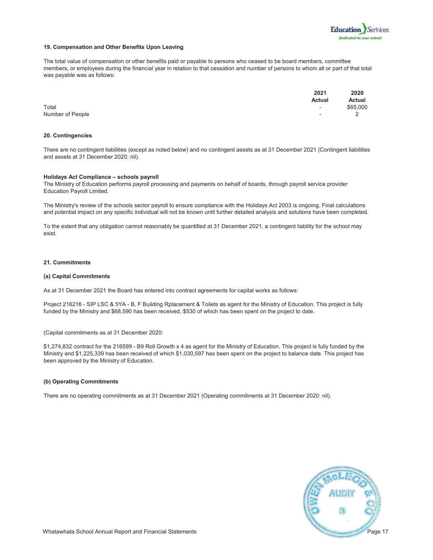

#### **19. Compensation and Other Benefits Upon Leaving**

The total value of compensation or other benefits paid or payable to persons who ceased to be board members, committee members, or employees during the financial year in relation to that cessation and number of persons to whom all or part of that total was payable was as follows:

|                  | 2021                     | 2020     |
|------------------|--------------------------|----------|
|                  | <b>Actual</b>            | Actual   |
| Total            | $\sim$                   | \$65,000 |
| Number of People | $\overline{\phantom{0}}$ |          |

#### **20. Contingencies**

There are no contingent liabilities (except as noted below) and no contingent assets as at 31 December 2021 (Contingent liabilities and assets at 31 December 2020: nil).

#### **Holidays Act Compliance - schools payroll**

The Ministry of Education performs payroll processing and payments on behalf of boards, through payroll service provider Education Payroll Limited.

The Ministry's review of the schools sector payroll to ensure compliance with the Holidays Act 2003 is ongoing. Final calculations and potential impact on any specific individual will not be known until further detailed analysis and solutions have been completed.

To the extent that any obligation cannot reasonably be quantified at 31 December 2021, a contingent liability for the school may exist.

#### **21. Commitments**

#### **(a) Capital Commitments**

As at 31 December 2021 the Board has entered into contract agreements for capital works as follows:

Project 216216 - SIP LSC & 5YA - B, F Building Rplacement & Toilets as agent for the Ministry of Education. This project is fully funded by the Ministry and \$68,590 has been received, \$530 of which has been spent on the project to date.

(Capital commitments as at 31 December 2020:

\$1,274,832 contract for the 216599 - B9 Roll Growth x 4 as agent for the Ministry of Education. This project is fully funded by the Ministry and \$1,225,339 has been received of which \$1,030,597 has been spent on the project to balance date. This project has been approved by the Ministry of Education.

#### **(b) Operating Commitments**

There are no operating commitments as at 31 December 2021 (Operating commitments at 31 December 2020: nil).

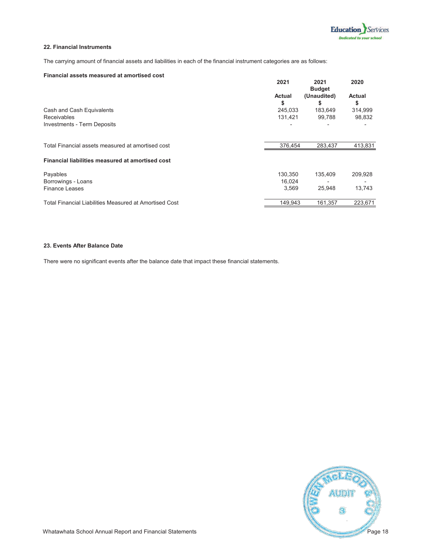#### **22. Financial Instruments**

The carrying amount of financial assets and liabilities in each of the financial instrument categories are as follows:

#### **Financial assets measured at amortised cost**

|                                                        | 2021         | 2021<br><b>Budget</b> | 2020         |
|--------------------------------------------------------|--------------|-----------------------|--------------|
|                                                        | Actual<br>\$ | (Unaudited)<br>\$     | Actual<br>\$ |
| Cash and Cash Equivalents                              | 245,033      | 183,649               | 314,999      |
| <b>Receivables</b>                                     | 131,421      | 99,788                | 98,832       |
| <b>Investments - Term Deposits</b>                     |              |                       |              |
| Total Financial assets measured at amortised cost      | 376,454      | 283,437               | 413,831      |
| Financial liabilities measured at amortised cost       |              |                       |              |
| Payables                                               | 130,350      | 135,409               | 209,928      |
| Borrowings - Loans                                     | 16,024       |                       |              |
| <b>Finance Leases</b>                                  | 3,569        | 25.948                | 13,743       |
| Total Financial Liabilities Measured at Amortised Cost | 149,943      | 161,357               | 223,671      |

#### **23. Events After Balance Date**

There were no significant events after the balance date that impact these financial statements.

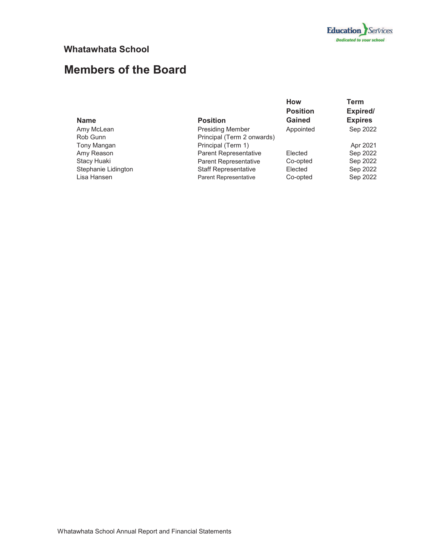

### **Whatawhata School**

# **Members of the Board**

| <b>Name</b>         | <b>Position</b>              | <b>How</b><br><b>Position</b><br>Gained | Term<br>Expired/<br><b>Expires</b> |
|---------------------|------------------------------|-----------------------------------------|------------------------------------|
|                     |                              |                                         |                                    |
| Amy McLean          | <b>Presiding Member</b>      | Appointed                               | Sep 2022                           |
| Rob Gunn            | Principal (Term 2 onwards)   |                                         |                                    |
| Tony Mangan         | Principal (Term 1)           |                                         | Apr 2021                           |
| Amy Reason          | Parent Representative        | Elected                                 | Sep 2022                           |
| Stacy Huaki         | <b>Parent Representative</b> | Co-opted                                | Sep 2022                           |
| Stephanie Lidington | <b>Staff Representative</b>  | Elected                                 | Sep 2022                           |
| Lisa Hansen         | <b>Parent Representative</b> | Co-opted                                | Sep 2022                           |